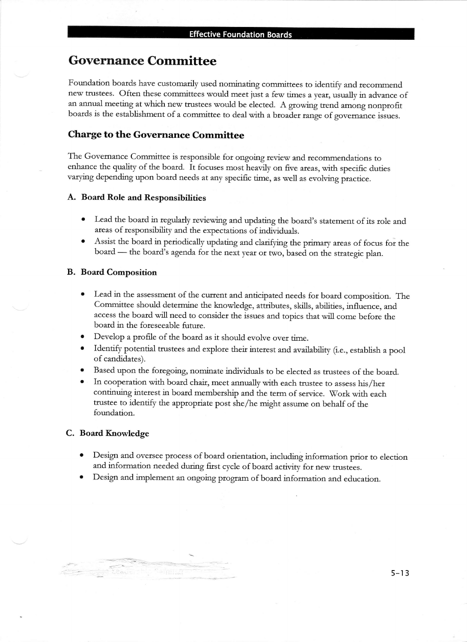# Governance Committee

Foundation boards have customarily used nominating committees to identify and recommend new trustees. Often these committees would meet just a few times a year, usually in advance of an annual meeting at which new trustees would be elected. A growing trend among nonprofit boards is the establishment of a committee to deal with a broader range of governance issues.

# Charge to the Governance Committee

The Govemance Committee is responsible for ongoing review and recommendations to enhance the quality of the boatd. It focuses most heavily on five areas, with specific duties varying depending upon board needs at any specific time, as well as evolving practice.

#### A. Board Role and Responsibilities

- Lead the board in regularly reviewing and updating the board's statement of its role and areas of responsibility and the expectations of individuals.
- Assist the board in periodically updating and clarifying the primary areas of focus for the board - the board's agenda for the next year or two, based on the strategic plan.

# B. Board Composition

- Lead in the assessment of the current and anticipated needs for board composition. The Committee should determine the knowledge, attributes, skills, abilities, influence, and access the board will need to considet the issues and topics that will come before the boatd in the foreseeable future.
- o Develop a profile of the board as it should evolve over time.
- a Identify potential trustees and explore their interest and availability (i.e., establish a pool of candidates).
- Based upon the fotegoing, nominate individuals to be elected as trustees of the board. a
- In cooperation with boatd chair, meet annually with each trustee to assess his/her continuing interest in board membership and the term of service. Work with each trustee to identify the appropriate post she/he might assume on behalf of the foundation. a

#### C. Board Knowledge

- Design and ovetsee process of board orientation, including information prior to election and information needed during first cycle of board activity for new trustees.
- Design and implement an ongoing program of board information and education.